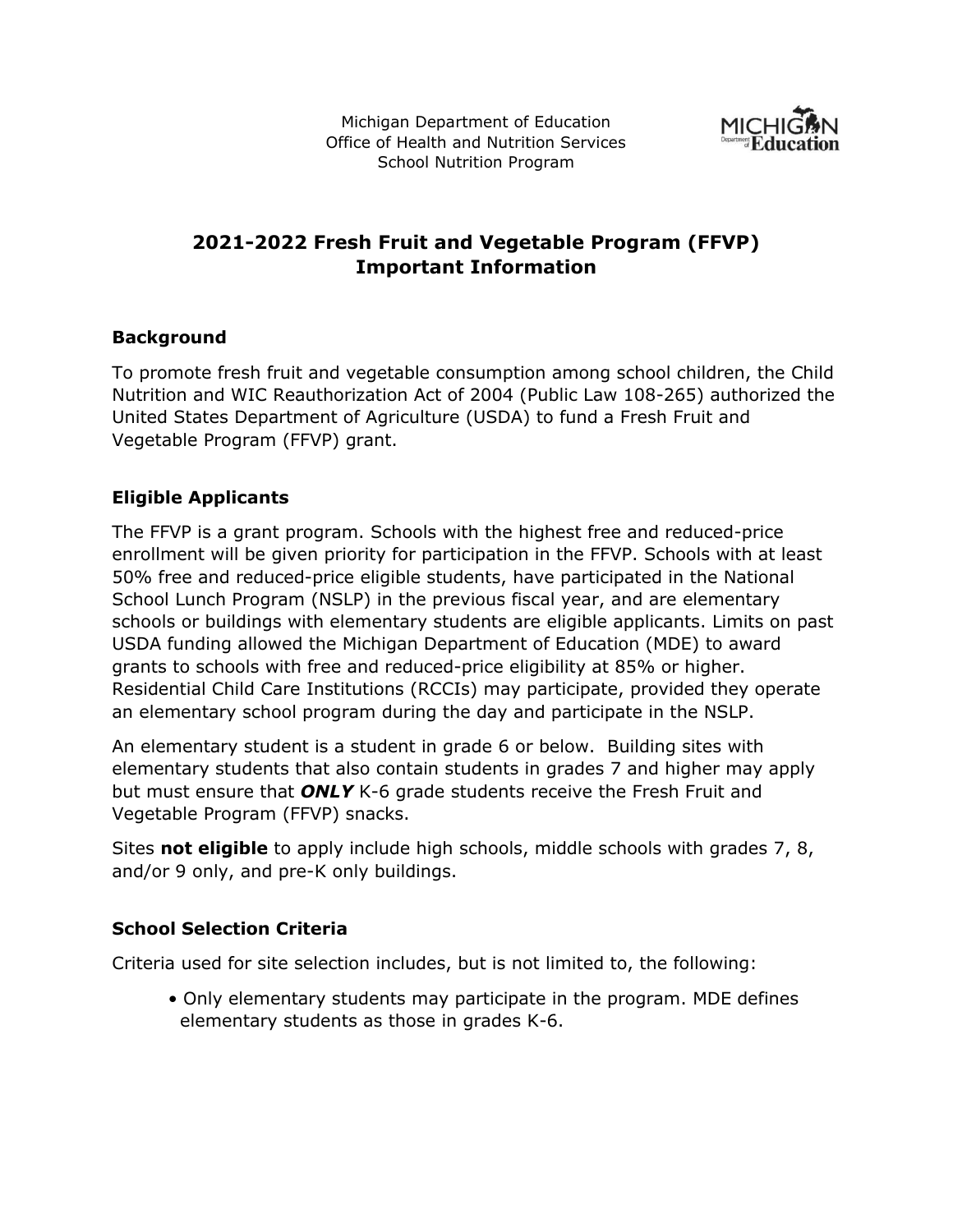Michigan Department of Education Office of Health and Nutrition Services School Nutrition Program



# **2021-2022 Fresh Fruit and Vegetable Program (FFVP) Important Information**

## **Background**

To promote fresh fruit and vegetable consumption among school children, the Child Nutrition and WIC Reauthorization Act of 2004 (Public Law 108-265) authorized the United States Department of Agriculture (USDA) to fund a Fresh Fruit and Vegetable Program (FFVP) grant.

## **Eligible Applicants**

The FFVP is a grant program. Schools with the highest free and reduced-price enrollment will be given priority for participation in the FFVP. Schools with at least 50% free and reduced-price eligible students, have participated in the National School Lunch Program (NSLP) in the previous fiscal year, and are elementary schools or buildings with elementary students are eligible applicants. Limits on past USDA funding allowed the Michigan Department of Education (MDE) to award grants to schools with free and reduced-price eligibility at 85% or higher. Residential Child Care Institutions (RCCIs) may participate, provided they operate an elementary school program during the day and participate in the NSLP.

An elementary student is a student in grade 6 or below. Building sites with elementary students that also contain students in grades 7 and higher may apply but must ensure that *ONLY* K-6 grade students receive the Fresh Fruit and Vegetable Program (FFVP) snacks.

Sites **not eligible** to apply include high schools, middle schools with grades 7, 8, and/or 9 only, and pre-K only buildings.

#### **School Selection Criteria**

Criteria used for site selection includes, but is not limited to, the following:

• Only elementary students may participate in the program. MDE defines elementary students as those in grades K-6.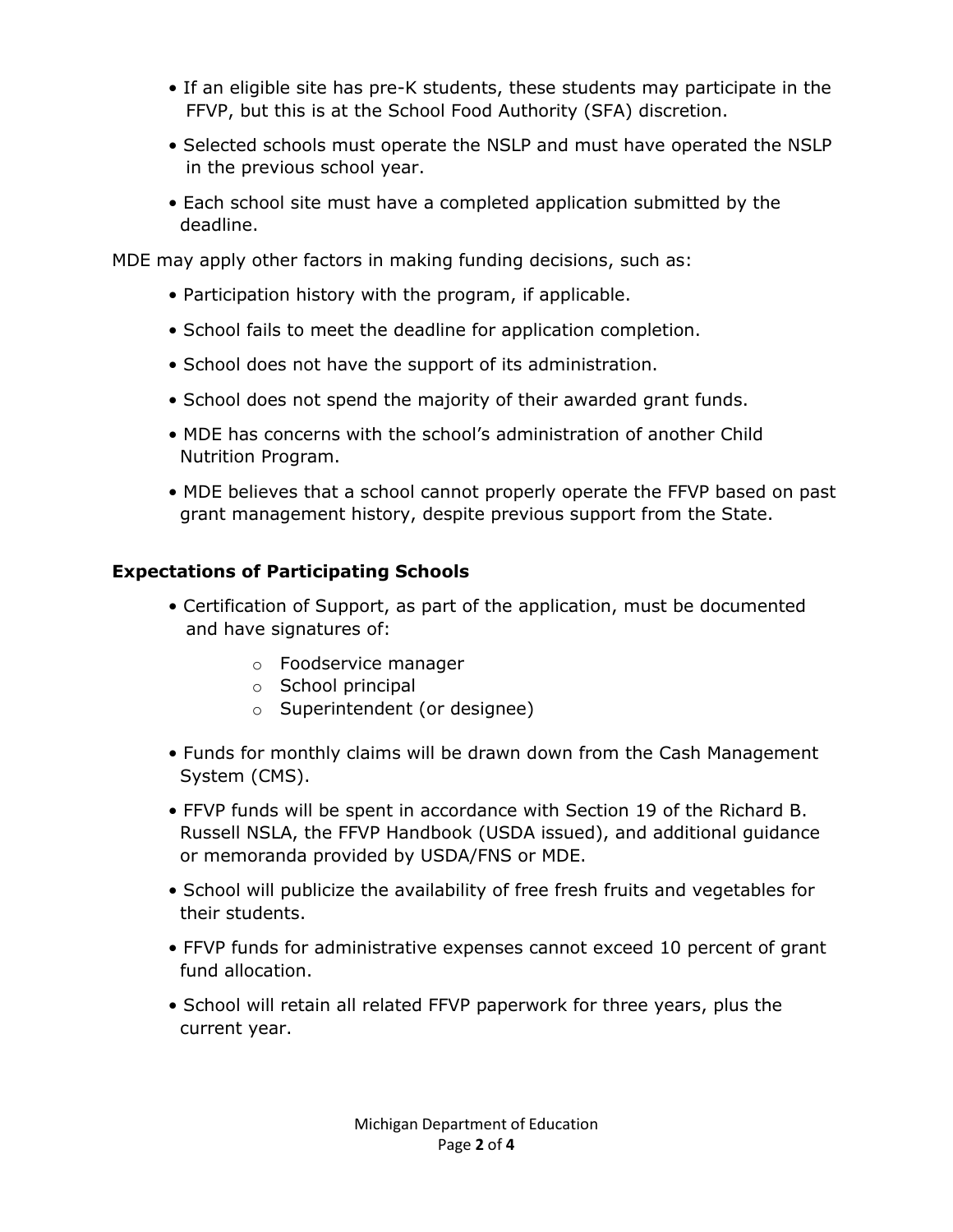- If an eligible site has pre-K students, these students may participate in the FFVP, but this is at the School Food Authority (SFA) discretion.
- Selected schools must operate the NSLP and must have operated the NSLP in the previous school year.
- Each school site must have a completed application submitted by the deadline.

MDE may apply other factors in making funding decisions, such as:

- Participation history with the program, if applicable.
- School fails to meet the deadline for application completion.
- School does not have the support of its administration.
- School does not spend the majority of their awarded grant funds.
- MDE has concerns with the school's administration of another Child Nutrition Program.
- MDE believes that a school cannot properly operate the FFVP based on past grant management history, despite previous support from the State.

## **Expectations of Participating Schools**

- Certification of Support, as part of the application, must be documented and have signatures of:
	- o Foodservice manager
	- o School principal
	- o Superintendent (or designee)
- Funds for monthly claims will be drawn down from the Cash Management System (CMS).
- FFVP funds will be spent in accordance with Section 19 of the Richard B. Russell NSLA, the FFVP Handbook (USDA issued), and additional guidance or memoranda provided by USDA/FNS or MDE.
- School will publicize the availability of free fresh fruits and vegetables for their students.
- FFVP funds for administrative expenses cannot exceed 10 percent of grant fund allocation.
- School will retain all related FFVP paperwork for three years, plus the current year.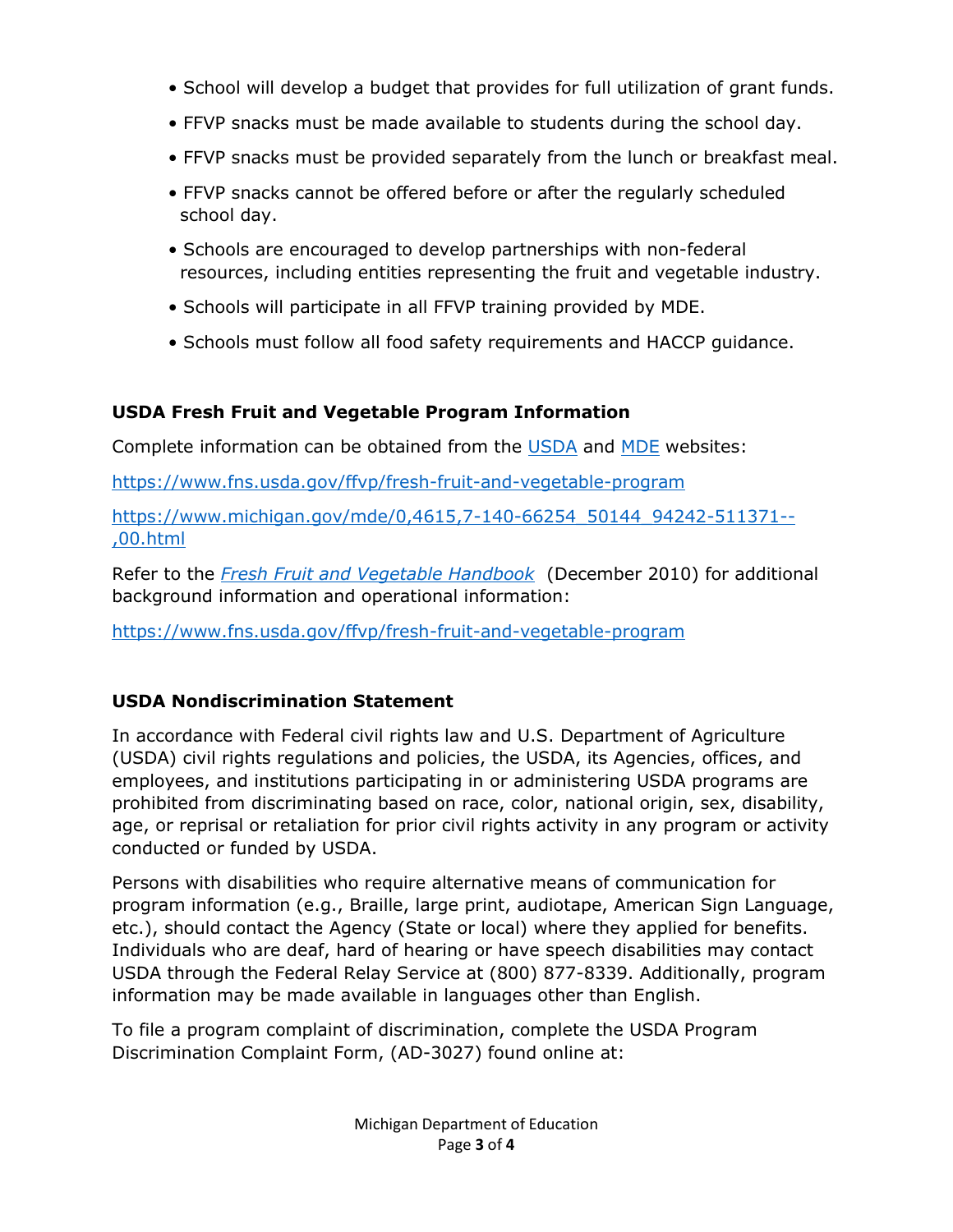- School will develop a budget that provides for full utilization of grant funds.
- FFVP snacks must be made available to students during the school day.
- FFVP snacks must be provided separately from the lunch or breakfast meal.
- FFVP snacks cannot be offered before or after the regularly scheduled school day.
- Schools are encouraged to develop partnerships with non-federal resources, including entities representing the fruit and vegetable industry.
- Schools will participate in all FFVP training provided by MDE.
- Schools must follow all food safety requirements and HACCP guidance.

## **USDA Fresh Fruit and Vegetable Program Information**

Complete information can be obtained from the [USDA](https://www.fns.usda.gov/ffvp/fresh-fruit-and-vegetable-program) and [MDE](https://www.michigan.gov/mde/0,4615,7-140-66254_50144_94242-511371--,00.html) websites:

<https://www.fns.usda.gov/ffvp/fresh-fruit-and-vegetable-program>

[https://www.michigan.gov/mde/0,4615,7-140-66254\\_50144\\_94242-511371--](https://www.michigan.gov/mde/0,4615,7-140-66254_50144_94242-511371--,00.html) [,00.html](https://www.michigan.gov/mde/0,4615,7-140-66254_50144_94242-511371--,00.html)

Refer to the *[Fresh Fruit and Vegetable Handbook](https://www.fns.usda.gov/ffvp/fresh-fruit-and-vegetable-program)* (December 2010) for additional background information and operational information:

<https://www.fns.usda.gov/ffvp/fresh-fruit-and-vegetable-program>

## **USDA Nondiscrimination Statement**

In accordance with Federal civil rights law and U.S. Department of Agriculture (USDA) civil rights regulations and policies, the USDA, its Agencies, offices, and employees, and institutions participating in or administering USDA programs are prohibited from discriminating based on race, color, national origin, sex, disability, age, or reprisal or retaliation for prior civil rights activity in any program or activity conducted or funded by USDA.

Persons with disabilities who require alternative means of communication for program information (e.g., Braille, large print, audiotape, American Sign Language, etc.), should contact the Agency (State or local) where they applied for benefits. Individuals who are deaf, hard of hearing or have speech disabilities may contact USDA through the Federal Relay Service at (800) 877-8339. Additionally, program information may be made available in languages other than English.

To file a program complaint of discrimination, complete the USDA Program Discrimination Complaint Form, (AD-3027) found online at: